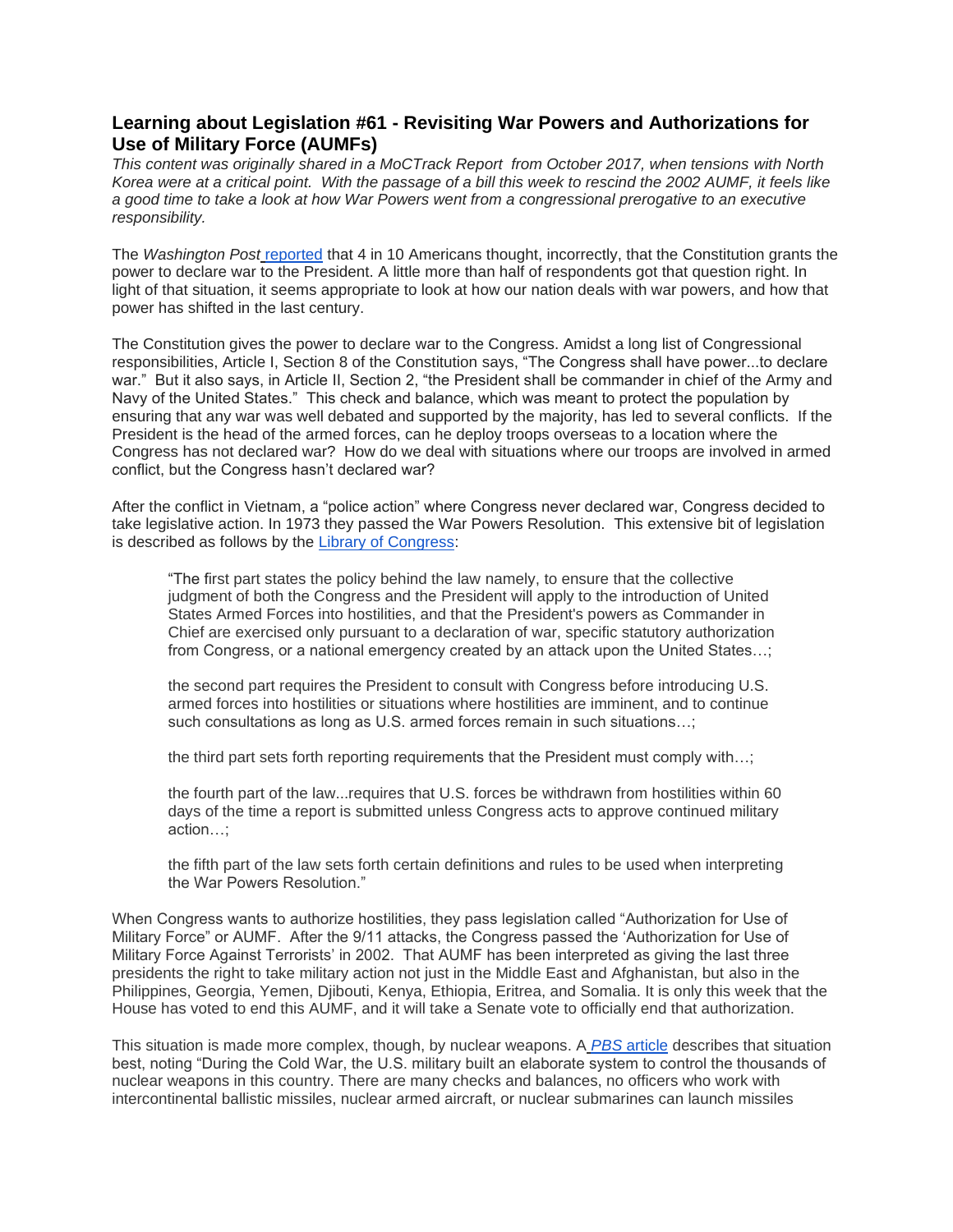## **Learning about Legislation #61 - Revisiting War Powers and Authorizations for Use of Military Force (AUMFs)**

*This content was originally shared in a MoCTrack Report from October 2017, when tensions with North Korea were at a critical point. With the passage of a bill this week to rescind the 2002 AUMF, it feels like a good time to take a look at how War Powers went from a congressional prerogative to an executive responsibility.*

The *Washington Post* [reported](https://www.washingtonpost.com/news/answer-sheet/wp/2016/09/27/many-americans-know-nothing-about-their-government-heres-a-bold-way-schools-can-fix-that/?utm_term=.5225abbdd303) that 4 in 10 Americans thought, incorrectly, that the Constitution grants the power to declare war to the President. A little more than half of respondents got that question right. In light of that situation, it seems appropriate to look at how our nation deals with war powers, and how that power has shifted in the last century.

The Constitution gives the power to declare war to the Congress. Amidst a long list of Congressional responsibilities, Article I, Section 8 of the Constitution says, "The Congress shall have power...to declare war." But it also says, in Article II, Section 2, "the President shall be commander in chief of the Army and Navy of the United States." This check and balance, which was meant to protect the population by ensuring that any war was well debated and supported by the majority, has led to several conflicts. If the President is the head of the armed forces, can he deploy troops overseas to a location where the Congress has not declared war? How do we deal with situations where our troops are involved in armed conflict, but the Congress hasn't declared war?

After the conflict in Vietnam, a "police action" where Congress never declared war, Congress decided to take legislative action. In 1973 they passed the War Powers Resolution. This extensive bit of legislation is described as follows by the [Library of Congress:](https://www.loc.gov/law/help/usconlaw/war-powers.php)

"The first part states the policy behind the law namely, to ensure that the collective judgment of both the Congress and the President will apply to the introduction of United States Armed Forces into hostilities, and that the President's powers as Commander in Chief are exercised only pursuant to a declaration of war, specific statutory authorization from Congress, or a national emergency created by an attack upon the United States…;

the second part requires the President to consult with Congress before introducing U.S. armed forces into hostilities or situations where hostilities are imminent, and to continue such consultations as long as U.S. armed forces remain in such situations…;

the third part sets forth reporting requirements that the President must comply with…;

the fourth part of the law...requires that U.S. forces be withdrawn from hostilities within 60 days of the time a report is submitted unless Congress acts to approve continued military action…;

the fifth part of the law sets forth certain definitions and rules to be used when interpreting the War Powers Resolution."

When Congress wants to authorize hostilities, they pass legislation called "Authorization for Use of Military Force" or AUMF. After the 9/11 attacks, the Congress passed the 'Authorization for Use of Military Force Against Terrorists' in 2002. That AUMF has been interpreted as giving the last three presidents the right to take military action not just in the Middle East and Afghanistan, but also in the Philippines, Georgia, Yemen, Djibouti, Kenya, Ethiopia, Eritrea, and Somalia. It is only this week that the House has voted to end this AUMF, and it will take a Senate vote to officially end that authorization.

This situation is made more complex, though, by nuclear weapons. A *[PBS](http://www.pbs.org/newshour/bb/heres-goes-presidents-decision-launch-nuclear-weapons/)* [article](http://www.pbs.org/newshour/bb/heres-goes-presidents-decision-launch-nuclear-weapons/) describes that situation best, noting "During the Cold War, the U.S. military built an elaborate system to control the thousands of nuclear weapons in this country. There are many checks and balances, no officers who work with intercontinental ballistic missiles, nuclear armed aircraft, or nuclear submarines can launch missiles